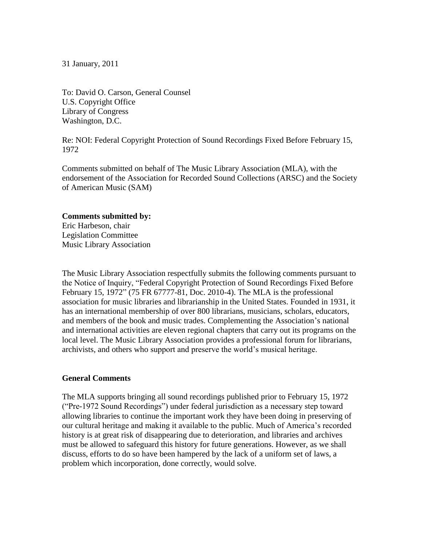31 January, 2011

To: David O. Carson, General Counsel U.S. Copyright Office Library of Congress Washington, D.C.

Re: NOI: Federal Copyright Protection of Sound Recordings Fixed Before February 15, 1972

Comments submitted on behalf of The Music Library Association (MLA), with the endorsement of the Association for Recorded Sound Collections (ARSC) and the Society of American Music (SAM)

#### **Comments submitted by:**

Eric Harbeson, chair Legislation Committee Music Library Association

The Music Library Association respectfully submits the following comments pursuant to the Notice of Inquiry, "Federal Copyright Protection of Sound Recordings Fixed Before February 15, 1972" (75 FR 67777-81, Doc. 2010-4). The MLA is the professional association for music libraries and librarianship in the United States. Founded in 1931, it has an international membership of over 800 librarians, musicians, scholars, educators, and members of the book and music trades. Complementing the Association's national and international activities are eleven regional chapters that carry out its programs on the local level. The Music Library Association provides a professional forum for librarians, archivists, and others who support and preserve the world's musical heritage.

#### **General Comments**

The MLA supports bringing all sound recordings published prior to February 15, 1972 (―Pre-1972 Sound Recordings‖) under federal jurisdiction as a necessary step toward allowing libraries to continue the important work they have been doing in preserving of our cultural heritage and making it available to the public. Much of America's recorded history is at great risk of disappearing due to deterioration, and libraries and archives must be allowed to safeguard this history for future generations. However, as we shall discuss, efforts to do so have been hampered by the lack of a uniform set of laws, a problem which incorporation, done correctly, would solve.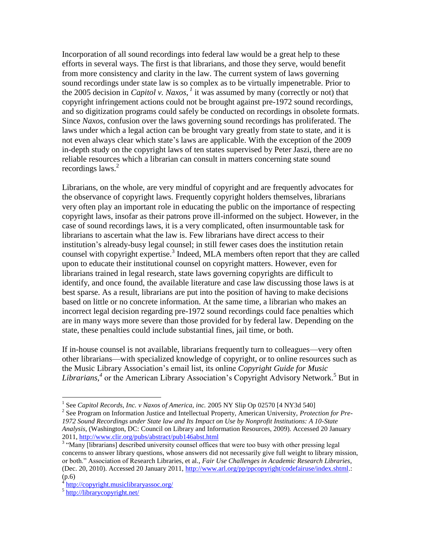Incorporation of all sound recordings into federal law would be a great help to these efforts in several ways. The first is that librarians, and those they serve, would benefit from more consistency and clarity in the law. The current system of laws governing sound recordings under state law is so complex as to be virtually impenetrable. Prior to the 2005 decision in *Capitol v. Naxos*,  $^1$  it was assumed by many (correctly or not) that copyright infringement actions could not be brought against pre-1972 sound recordings, and so digitization programs could safely be conducted on recordings in obsolete formats. Since *Naxos*, confusion over the laws governing sound recordings has proliferated. The laws under which a legal action can be brought vary greatly from state to state, and it is not even always clear which state's laws are applicable. With the exception of the 2009 in-depth study on the copyright laws of ten states supervised by Peter Jaszi, there are no reliable resources which a librarian can consult in matters concerning state sound recordings laws.<sup>2</sup>

Librarians, on the whole, are very mindful of copyright and are frequently advocates for the observance of copyright laws. Frequently copyright holders themselves, librarians very often play an important role in educating the public on the importance of respecting copyright laws, insofar as their patrons prove ill-informed on the subject. However, in the case of sound recordings laws, it is a very complicated, often insurmountable task for librarians to ascertain what the law is. Few librarians have direct access to their institution's already-busy legal counsel; in still fewer cases does the institution retain counsel with copyright expertise.<sup>3</sup> Indeed, MLA members often report that they are called upon to educate their institutional counsel on copyright matters. However, even for librarians trained in legal research, state laws governing copyrights are difficult to identify, and once found, the available literature and case law discussing those laws is at best sparse. As a result, librarians are put into the position of having to make decisions based on little or no concrete information. At the same time, a librarian who makes an incorrect legal decision regarding pre-1972 sound recordings could face penalties which are in many ways more severe than those provided for by federal law. Depending on the state, these penalties could include substantial fines, jail time, or both.

If in-house counsel is not available, librarians frequently turn to colleagues—very often other librarians—with specialized knowledge of copyright, or to online resources such as the Music Library Association's email list, its online *Copyright Guide for Music*  Librarians,<sup>4</sup> or the American Library Association's Copyright Advisory Network.<sup>5</sup> But in

<sup>&</sup>lt;sup>1</sup> See *Capitol Records, Inc. v Naxos of America, inc.* 2005 NY Slip Op 02570 [4 NY3d 540]

<sup>2</sup> See Program on Information Justice and Intellectual Property, American University, *Protection for Pre-1972 Sound Recordings under State law and Its Impact on Use by Nonprofit Institutions: A 10-State Analysis*, (Washington, DC: Council on Library and Information Resources, 2009). Accessed 20 January 2011,<http://www.clir.org/pubs/abstract/pub146abst.html>

<sup>&</sup>lt;sup>3</sup> "Many [librarians] described university counsel offices that were too busy with other pressing legal concerns to answer library questions, whose answers did not necessarily give full weight to library mission, or both.‖ Association of Research Libraries, et al., *Fair Use Challenges in Academic Research Libraries*, (Dec. 20, 2010). Accessed 20 January 2011, [http://www.arl.org/pp/ppcopyright/codefairuse/index.shtml.](http://www.arl.org/pp/ppcopyright/codefairuse/index.shtml): (p.6)

<sup>4</sup> <http://copyright.musiclibraryassoc.org/>

<sup>&</sup>lt;sup>5</sup> <http://librarycopyright.net/>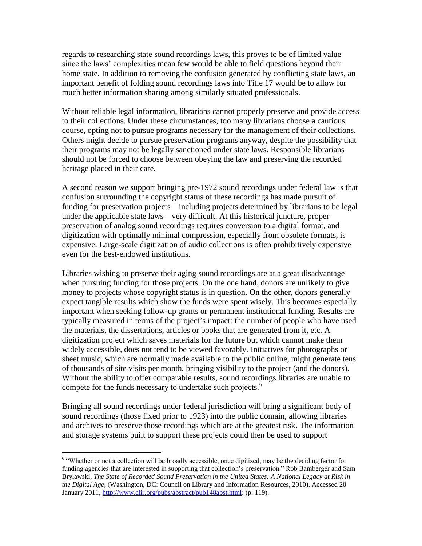regards to researching state sound recordings laws, this proves to be of limited value since the laws' complexities mean few would be able to field questions beyond their home state. In addition to removing the confusion generated by conflicting state laws, an important benefit of folding sound recordings laws into Title 17 would be to allow for much better information sharing among similarly situated professionals.

Without reliable legal information, librarians cannot properly preserve and provide access to their collections. Under these circumstances, too many librarians choose a cautious course, opting not to pursue programs necessary for the management of their collections. Others might decide to pursue preservation programs anyway, despite the possibility that their programs may not be legally sanctioned under state laws. Responsible librarians should not be forced to choose between obeying the law and preserving the recorded heritage placed in their care.

A second reason we support bringing pre-1972 sound recordings under federal law is that confusion surrounding the copyright status of these recordings has made pursuit of funding for preservation projects—including projects determined by librarians to be legal under the applicable state laws—very difficult. At this historical juncture, proper preservation of analog sound recordings requires conversion to a digital format, and digitization with optimally minimal compression, especially from obsolete formats, is expensive. Large-scale digitization of audio collections is often prohibitively expensive even for the best-endowed institutions.

Libraries wishing to preserve their aging sound recordings are at a great disadvantage when pursuing funding for those projects. On the one hand, donors are unlikely to give money to projects whose copyright status is in question. On the other, donors generally expect tangible results which show the funds were spent wisely. This becomes especially important when seeking follow-up grants or permanent institutional funding. Results are typically measured in terms of the project's impact: the number of people who have used the materials, the dissertations, articles or books that are generated from it, etc. A digitization project which saves materials for the future but which cannot make them widely accessible, does not tend to be viewed favorably. Initiatives for photographs or sheet music, which are normally made available to the public online, might generate tens of thousands of site visits per month, bringing visibility to the project (and the donors). Without the ability to offer comparable results, sound recordings libraries are unable to compete for the funds necessary to undertake such projects.<sup>6</sup>

Bringing all sound recordings under federal jurisdiction will bring a significant body of sound recordings (those fixed prior to 1923) into the public domain, allowing libraries and archives to preserve those recordings which are at the greatest risk. The information and storage systems built to support these projects could then be used to support

 6 ―Whether or not a collection will be broadly accessible, once digitized, may be the deciding factor for funding agencies that are interested in supporting that collection's preservation." Rob Bamberger and Sam Brylawski, *The State of Recorded Sound Preservation in the United States: A National Legacy at Risk in the Digital Age,* (Washington, DC: Council on Library and Information Resources, 2010). Accessed 20 January 2011[, http://www.clir.org/pubs/abstract/pub148abst.html:](http://www.clir.org/pubs/abstract/pub148abst.html) (p. 119).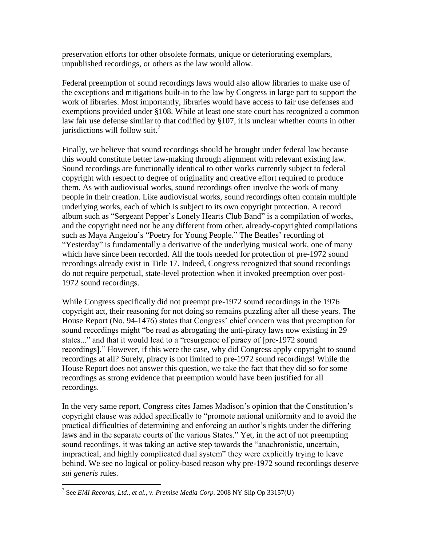preservation efforts for other obsolete formats, unique or deteriorating exemplars, unpublished recordings, or others as the law would allow.

Federal preemption of sound recordings laws would also allow libraries to make use of the exceptions and mitigations built-in to the law by Congress in large part to support the work of libraries. Most importantly, libraries would have access to fair use defenses and exemptions provided under §108. While at least one state court has recognized a common law fair use defense similar to that codified by §107, it is unclear whether courts in other jurisdictions will follow suit.<sup>7</sup>

Finally, we believe that sound recordings should be brought under federal law because this would constitute better law-making through alignment with relevant existing law. Sound recordings are functionally identical to other works currently subject to federal copyright with respect to degree of originality and creative effort required to produce them. As with audiovisual works, sound recordings often involve the work of many people in their creation. Like audiovisual works, sound recordings often contain multiple underlying works, each of which is subject to its own copyright protection. A record album such as "Sergeant Pepper's Lonely Hearts Club Band" is a compilation of works, and the copyright need not be any different from other, already-copyrighted compilations such as Maya Angelou's "Poetry for Young People." The Beatles' recording of "Yesterday" is fundamentally a derivative of the underlying musical work, one of many which have since been recorded. All the tools needed for protection of pre-1972 sound recordings already exist in Title 17. Indeed, Congress recognized that sound recordings do not require perpetual, state-level protection when it invoked preemption over post-1972 sound recordings.

While Congress specifically did not preempt pre-1972 sound recordings in the 1976 copyright act, their reasoning for not doing so remains puzzling after all these years. The House Report (No. 94-1476) states that Congress' chief concern was that preemption for sound recordings might "be read as abrogating the anti-piracy laws now existing in 29 states..." and that it would lead to a "resurgence of piracy of [pre-1972 sound recordings]." However, if this were the case, why did Congress apply copyright to sound recordings at all? Surely, piracy is not limited to pre-1972 sound recordings! While the House Report does not answer this question, we take the fact that they did so for some recordings as strong evidence that preemption would have been justified for all recordings.

In the very same report, Congress cites James Madison's opinion that the Constitution's copyright clause was added specifically to "promote national uniformity and to avoid the practical difficulties of determining and enforcing an author's rights under the differing laws and in the separate courts of the various States." Yet, in the act of not preempting sound recordings, it was taking an active step towards the "anachronistic, uncertain, impractical, and highly complicated dual system" they were explicitly trying to leave behind. We see no logical or policy-based reason why pre-1972 sound recordings deserve *sui generis* rules.

 $\overline{a}$ 7 See *EMI Records, Ltd., et al., v. Premise Media Corp.* 2008 NY Slip Op 33157(U)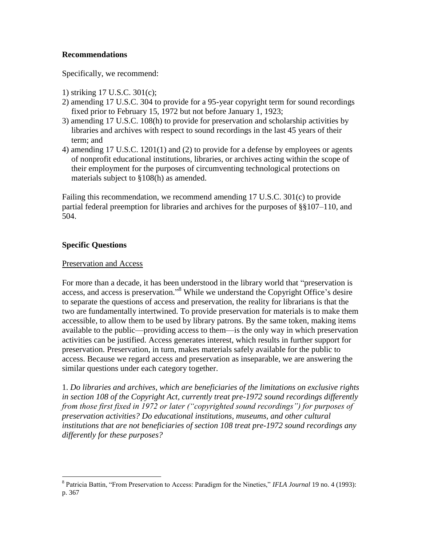### **Recommendations**

Specifically, we recommend:

- 1) striking 17 U.S.C. 301(c);
- 2) amending 17 U.S.C. 304 to provide for a 95-year copyright term for sound recordings fixed prior to February 15, 1972 but not before January 1, 1923;
- 3) amending 17 U.S.C. 108(h) to provide for preservation and scholarship activities by libraries and archives with respect to sound recordings in the last 45 years of their term; and
- 4) amending 17 U.S.C. 1201(1) and (2) to provide for a defense by employees or agents of nonprofit educational institutions, libraries, or archives acting within the scope of their employment for the purposes of circumventing technological protections on materials subject to §108(h) as amended.

Failing this recommendation, we recommend amending 17 U.S.C. 301(c) to provide partial federal preemption for libraries and archives for the purposes of §§107–110, and 504.

# **Specific Questions**

#### Preservation and Access

For more than a decade, it has been understood in the library world that "preservation is access, and access is preservation."<sup>8</sup> While we understand the Copyright Office's desire to separate the questions of access and preservation, the reality for librarians is that the two are fundamentally intertwined. To provide preservation for materials is to make them accessible, to allow them to be used by library patrons. By the same token, making items available to the public—providing access to them—is the only way in which preservation activities can be justified. Access generates interest, which results in further support for preservation. Preservation, in turn, makes materials safely available for the public to access. Because we regard access and preservation as inseparable, we are answering the similar questions under each category together.

1. *Do libraries and archives, which are beneficiaries of the limitations on exclusive rights in section 108 of the Copyright Act, currently treat pre-1972 sound recordings differently from those first fixed in 1972 or later ("copyrighted sound recordings") for purposes of preservation activities? Do educational institutions, museums, and other cultural institutions that are not beneficiaries of section 108 treat pre-1972 sound recordings any differently for these purposes?*

<sup>&</sup>lt;sup>8</sup> Patricia Battin, "From Preservation to Access: Paradigm for the Nineties," *IFLA Journal* 19 no. 4 (1993): p. 367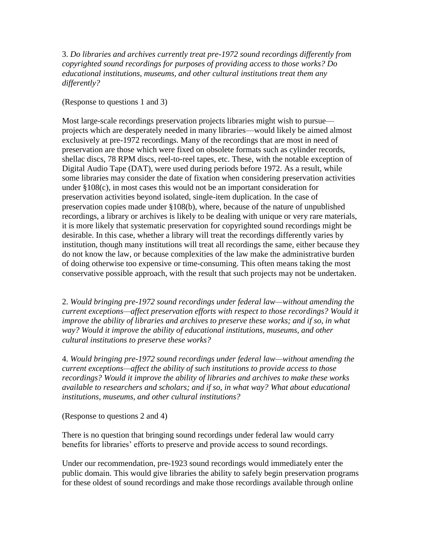3. *Do libraries and archives currently treat pre-1972 sound recordings differently from copyrighted sound recordings for purposes of providing access to those works? Do educational institutions, museums, and other cultural institutions treat them any differently?*

(Response to questions 1 and 3)

Most large-scale recordings preservation projects libraries might wish to pursue projects which are desperately needed in many libraries—would likely be aimed almost exclusively at pre-1972 recordings. Many of the recordings that are most in need of preservation are those which were fixed on obsolete formats such as cylinder records, shellac discs, 78 RPM discs, reel-to-reel tapes, etc. These, with the notable exception of Digital Audio Tape (DAT), were used during periods before 1972. As a result, while some libraries may consider the date of fixation when considering preservation activities under §108(c), in most cases this would not be an important consideration for preservation activities beyond isolated, single-item duplication. In the case of preservation copies made under §108(b), where, because of the nature of unpublished recordings, a library or archives is likely to be dealing with unique or very rare materials, it is more likely that systematic preservation for copyrighted sound recordings might be desirable. In this case, whether a library will treat the recordings differently varies by institution, though many institutions will treat all recordings the same, either because they do not know the law, or because complexities of the law make the administrative burden of doing otherwise too expensive or time-consuming. This often means taking the most conservative possible approach, with the result that such projects may not be undertaken.

2. *Would bringing pre-1972 sound recordings under federal law—without amending the current exceptions—affect preservation efforts with respect to those recordings? Would it improve the ability of libraries and archives to preserve these works; and if so, in what way? Would it improve the ability of educational institutions, museums, and other cultural institutions to preserve these works?*

4. *Would bringing pre-1972 sound recordings under federal law—without amending the current exceptions—affect the ability of such institutions to provide access to those recordings? Would it improve the ability of libraries and archives to make these works available to researchers and scholars; and if so, in what way? What about educational institutions, museums, and other cultural institutions?*

(Response to questions 2 and 4)

There is no question that bringing sound recordings under federal law would carry benefits for libraries' efforts to preserve and provide access to sound recordings.

Under our recommendation, pre-1923 sound recordings would immediately enter the public domain. This would give libraries the ability to safely begin preservation programs for these oldest of sound recordings and make those recordings available through online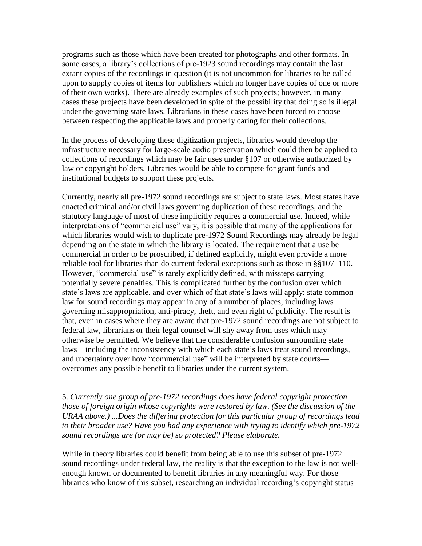programs such as those which have been created for photographs and other formats. In some cases, a library's collections of pre-1923 sound recordings may contain the last extant copies of the recordings in question (it is not uncommon for libraries to be called upon to supply copies of items for publishers which no longer have copies of one or more of their own works). There are already examples of such projects; however, in many cases these projects have been developed in spite of the possibility that doing so is illegal under the governing state laws. Librarians in these cases have been forced to choose between respecting the applicable laws and properly caring for their collections.

In the process of developing these digitization projects, libraries would develop the infrastructure necessary for large-scale audio preservation which could then be applied to collections of recordings which may be fair uses under §107 or otherwise authorized by law or copyright holders. Libraries would be able to compete for grant funds and institutional budgets to support these projects.

Currently, nearly all pre-1972 sound recordings are subject to state laws. Most states have enacted criminal and/or civil laws governing duplication of these recordings, and the statutory language of most of these implicitly requires a commercial use. Indeed, while interpretations of "commercial use" vary, it is possible that many of the applications for which libraries would wish to duplicate pre-1972 Sound Recordings may already be legal depending on the state in which the library is located. The requirement that a use be commercial in order to be proscribed, if defined explicitly, might even provide a more reliable tool for libraries than do current federal exceptions such as those in §§107–110. However, "commercial use" is rarely explicitly defined, with missteps carrying potentially severe penalties. This is complicated further by the confusion over which state's laws are applicable, and over which of that state's laws will apply: state common law for sound recordings may appear in any of a number of places, including laws governing misappropriation, anti-piracy, theft, and even right of publicity. The result is that, even in cases where they are aware that pre-1972 sound recordings are not subject to federal law, librarians or their legal counsel will shy away from uses which may otherwise be permitted. We believe that the considerable confusion surrounding state laws—including the inconsistency with which each state's laws treat sound recordings, and uncertainty over how "commercial use" will be interpreted by state courts overcomes any possible benefit to libraries under the current system.

5. *Currently one group of pre-1972 recordings does have federal copyright protection those of foreign origin whose copyrights were restored by law. (See the discussion of the URAA above.) ...Does the differing protection for this particular group of recordings lead to their broader use? Have you had any experience with trying to identify which pre-1972 sound recordings are (or may be) so protected? Please elaborate.*

While in theory libraries could benefit from being able to use this subset of pre-1972 sound recordings under federal law, the reality is that the exception to the law is not wellenough known or documented to benefit libraries in any meaningful way. For those libraries who know of this subset, researching an individual recording's copyright status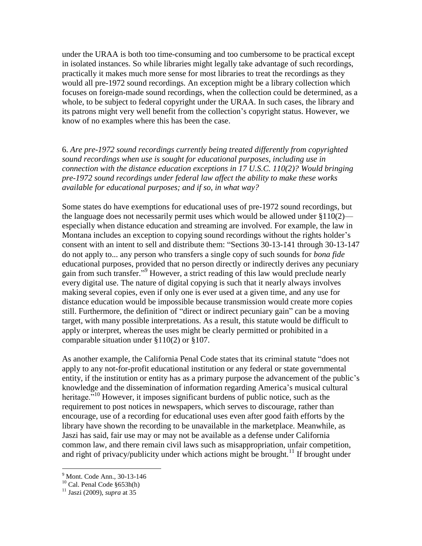under the URAA is both too time-consuming and too cumbersome to be practical except in isolated instances. So while libraries might legally take advantage of such recordings, practically it makes much more sense for most libraries to treat the recordings as they would all pre-1972 sound recordings. An exception might be a library collection which focuses on foreign-made sound recordings, when the collection could be determined, as a whole, to be subject to federal copyright under the URAA. In such cases, the library and its patrons might very well benefit from the collection's copyright status. However, we know of no examples where this has been the case.

6. *Are pre-1972 sound recordings currently being treated differently from copyrighted sound recordings when use is sought for educational purposes, including use in connection with the distance education exceptions in 17 U.S.C. 110(2)? Would bringing pre-1972 sound recordings under federal law affect the ability to make these works available for educational purposes; and if so, in what way?*

Some states do have exemptions for educational uses of pre-1972 sound recordings, but the language does not necessarily permit uses which would be allowed under §110(2) especially when distance education and streaming are involved. For example, the law in Montana includes an exception to copying sound recordings without the rights holder's consent with an intent to sell and distribute them: "Sections 30-13-141 through 30-13-147 do not apply to... any person who transfers a single copy of such sounds for *bona fide* educational purposes, provided that no person directly or indirectly derives any pecuniary gain from such transfer."<sup>9</sup> However, a strict reading of this law would preclude nearly every digital use. The nature of digital copying is such that it nearly always involves making several copies, even if only one is ever used at a given time, and any use for distance education would be impossible because transmission would create more copies still. Furthermore, the definition of "direct or indirect pecuniary gain" can be a moving target, with many possible interpretations. As a result, this statute would be difficult to apply or interpret, whereas the uses might be clearly permitted or prohibited in a comparable situation under §110(2) or §107.

As another example, the California Penal Code states that its criminal statute "does not apply to any not-for-profit educational institution or any federal or state governmental entity, if the institution or entity has as a primary purpose the advancement of the public's knowledge and the dissemination of information regarding America's musical cultural heritage.<sup>510</sup> However, it imposes significant burdens of public notice, such as the requirement to post notices in newspapers, which serves to discourage, rather than encourage, use of a recording for educational uses even after good faith efforts by the library have shown the recording to be unavailable in the marketplace. Meanwhile, as Jaszi has said, fair use may or may not be available as a defense under California common law, and there remain civil laws such as misappropriation, unfair competition, and right of privacy/publicity under which actions might be brought.<sup>11</sup> If brought under

<sup>9</sup> Mont. Code Ann., 30-13-146

 $^{10}$  Cal. Penal Code  $\S 653h(h)$ 

<sup>11</sup> Jaszi (2009), *supra* at 35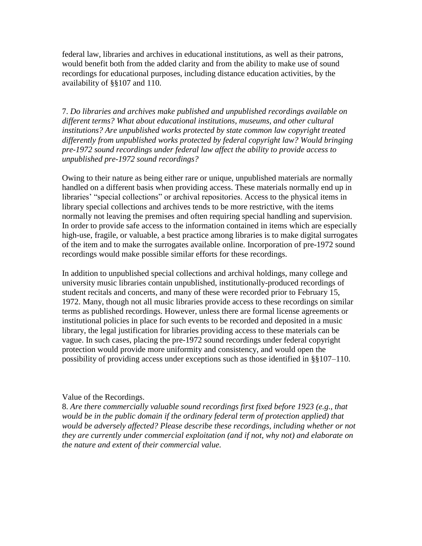federal law, libraries and archives in educational institutions, as well as their patrons, would benefit both from the added clarity and from the ability to make use of sound recordings for educational purposes, including distance education activities, by the availability of §§107 and 110.

7. *Do libraries and archives make published and unpublished recordings available on different terms? What about educational institutions, museums, and other cultural institutions? Are unpublished works protected by state common law copyright treated differently from unpublished works protected by federal copyright law? Would bringing pre-1972 sound recordings under federal law affect the ability to provide access to unpublished pre-1972 sound recordings?*

Owing to their nature as being either rare or unique, unpublished materials are normally handled on a different basis when providing access. These materials normally end up in libraries' "special collections" or archival repositories. Access to the physical items in library special collections and archives tends to be more restrictive, with the items normally not leaving the premises and often requiring special handling and supervision. In order to provide safe access to the information contained in items which are especially high-use, fragile, or valuable, a best practice among libraries is to make digital surrogates of the item and to make the surrogates available online. Incorporation of pre-1972 sound recordings would make possible similar efforts for these recordings.

In addition to unpublished special collections and archival holdings, many college and university music libraries contain unpublished, institutionally-produced recordings of student recitals and concerts, and many of these were recorded prior to February 15, 1972. Many, though not all music libraries provide access to these recordings on similar terms as published recordings. However, unless there are formal license agreements or institutional policies in place for such events to be recorded and deposited in a music library, the legal justification for libraries providing access to these materials can be vague. In such cases, placing the pre-1972 sound recordings under federal copyright protection would provide more uniformity and consistency, and would open the possibility of providing access under exceptions such as those identified in §§107–110.

#### Value of the Recordings.

8. *Are there commercially valuable sound recordings first fixed before 1923 (e.g., that would be in the public domain if the ordinary federal term of protection applied) that would be adversely affected? Please describe these recordings, including whether or not they are currently under commercial exploitation (and if not, why not) and elaborate on the nature and extent of their commercial value.*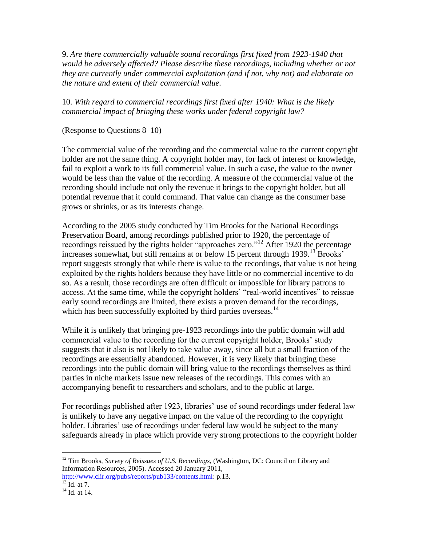9. *Are there commercially valuable sound recordings first fixed from 1923-1940 that would be adversely affected? Please describe these recordings, including whether or not they are currently under commercial exploitation (and if not, why not) and elaborate on the nature and extent of their commercial value.*

10. *With regard to commercial recordings first fixed after 1940: What is the likely commercial impact of bringing these works under federal copyright law?*

(Response to Questions 8–10)

The commercial value of the recording and the commercial value to the current copyright holder are not the same thing. A copyright holder may, for lack of interest or knowledge, fail to exploit a work to its full commercial value. In such a case, the value to the owner would be less than the value of the recording. A measure of the commercial value of the recording should include not only the revenue it brings to the copyright holder, but all potential revenue that it could command. That value can change as the consumer base grows or shrinks, or as its interests change.

According to the 2005 study conducted by Tim Brooks for the National Recordings Preservation Board, among recordings published prior to 1920, the percentage of recordings reissued by the rights holder "approaches zero."<sup>12</sup> After 1920 the percentage increases somewhat, but still remains at or below 15 percent through  $1939$ .<sup>13</sup> Brooks' report suggests strongly that while there is value to the recordings, that value is not being exploited by the rights holders because they have little or no commercial incentive to do so. As a result, those recordings are often difficult or impossible for library patrons to access. At the same time, while the copyright holders' "real-world incentives" to reissue early sound recordings are limited, there exists a proven demand for the recordings, which has been successfully exploited by third parties overseas. $^{14}$ 

While it is unlikely that bringing pre-1923 recordings into the public domain will add commercial value to the recording for the current copyright holder, Brooks' study suggests that it also is not likely to take value away, since all but a small fraction of the recordings are essentially abandoned. However, it is very likely that bringing these recordings into the public domain will bring value to the recordings themselves as third parties in niche markets issue new releases of the recordings. This comes with an accompanying benefit to researchers and scholars, and to the public at large.

For recordings published after 1923, libraries' use of sound recordings under federal law is unlikely to have any negative impact on the value of the recording to the copyright holder. Libraries' use of recordings under federal law would be subject to the many safeguards already in place which provide very strong protections to the copyright holder

<sup>12</sup> Tim Brooks, *Survey of Reissues of U.S. Recordings*, (Washington, DC: Council on Library and Information Resources, 2005). Accessed 20 January 2011,

[http://www.clir.org/pubs/reports/pub133/contents.html:](http://www.clir.org/pubs/reports/pub133/contents.html) p.13.  $^{13}$  Id. at 7.

<sup>&</sup>lt;sup>14</sup> Id. at 14.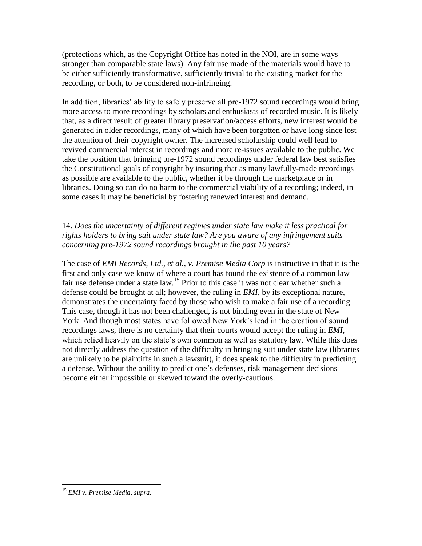(protections which, as the Copyright Office has noted in the NOI, are in some ways stronger than comparable state laws). Any fair use made of the materials would have to be either sufficiently transformative, sufficiently trivial to the existing market for the recording, or both, to be considered non-infringing.

In addition, libraries' ability to safely preserve all pre-1972 sound recordings would bring more access to more recordings by scholars and enthusiasts of recorded music. It is likely that, as a direct result of greater library preservation/access efforts, new interest would be generated in older recordings, many of which have been forgotten or have long since lost the attention of their copyright owner. The increased scholarship could well lead to revived commercial interest in recordings and more re-issues available to the public. We take the position that bringing pre-1972 sound recordings under federal law best satisfies the Constitutional goals of copyright by insuring that as many lawfully-made recordings as possible are available to the public, whether it be through the marketplace or in libraries. Doing so can do no harm to the commercial viability of a recording; indeed, in some cases it may be beneficial by fostering renewed interest and demand.

# 14. *Does the uncertainty of different regimes under state law make it less practical for rights holders to bring suit under state law? Are you aware of any infringement suits concerning pre-1972 sound recordings brought in the past 10 years?*

The case of *EMI Records, Ltd., et al., v. Premise Media Corp* is instructive in that it is the first and only case we know of where a court has found the existence of a common law fair use defense under a state law.<sup>15</sup> Prior to this case it was not clear whether such a defense could be brought at all; however, the ruling in *EMI*, by its exceptional nature, demonstrates the uncertainty faced by those who wish to make a fair use of a recording. This case, though it has not been challenged, is not binding even in the state of New York. And though most states have followed New York's lead in the creation of sound recordings laws, there is no certainty that their courts would accept the ruling in *EMI*, which relied heavily on the state's own common as well as statutory law. While this does not directly address the question of the difficulty in bringing suit under state law (libraries are unlikely to be plaintiffs in such a lawsuit), it does speak to the difficulty in predicting a defense. Without the ability to predict one's defenses, risk management decisions become either impossible or skewed toward the overly-cautious.

<sup>15</sup> *EMI v. Premise Media*, *supra.*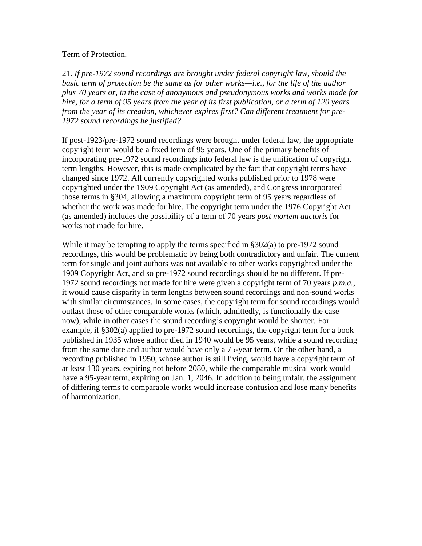#### Term of Protection.

21. *If pre-1972 sound recordings are brought under federal copyright law, should the basic term of protection be the same as for other works—i.e., for the life of the author plus 70 years or, in the case of anonymous and pseudonymous works and works made for hire, for a term of 95 years from the year of its first publication, or a term of 120 years from the year of its creation, whichever expires first? Can different treatment for pre-1972 sound recordings be justified?*

If post-1923/pre-1972 sound recordings were brought under federal law, the appropriate copyright term would be a fixed term of 95 years. One of the primary benefits of incorporating pre-1972 sound recordings into federal law is the unification of copyright term lengths. However, this is made complicated by the fact that copyright terms have changed since 1972. All currently copyrighted works published prior to 1978 were copyrighted under the 1909 Copyright Act (as amended), and Congress incorporated those terms in §304, allowing a maximum copyright term of 95 years regardless of whether the work was made for hire. The copyright term under the 1976 Copyright Act (as amended) includes the possibility of a term of 70 years *post mortem auctoris* for works not made for hire.

While it may be tempting to apply the terms specified in §302(a) to pre-1972 sound recordings, this would be problematic by being both contradictory and unfair. The current term for single and joint authors was not available to other works copyrighted under the 1909 Copyright Act, and so pre-1972 sound recordings should be no different. If pre-1972 sound recordings not made for hire were given a copyright term of 70 years *p.m.a.*, it would cause disparity in term lengths between sound recordings and non-sound works with similar circumstances. In some cases, the copyright term for sound recordings would outlast those of other comparable works (which, admittedly, is functionally the case now), while in other cases the sound recording's copyright would be shorter. For example, if §302(a) applied to pre-1972 sound recordings, the copyright term for a book published in 1935 whose author died in 1940 would be 95 years, while a sound recording from the same date and author would have only a 75-year term. On the other hand, a recording published in 1950, whose author is still living, would have a copyright term of at least 130 years, expiring not before 2080, while the comparable musical work would have a 95-year term, expiring on Jan. 1, 2046. In addition to being unfair, the assignment of differing terms to comparable works would increase confusion and lose many benefits of harmonization.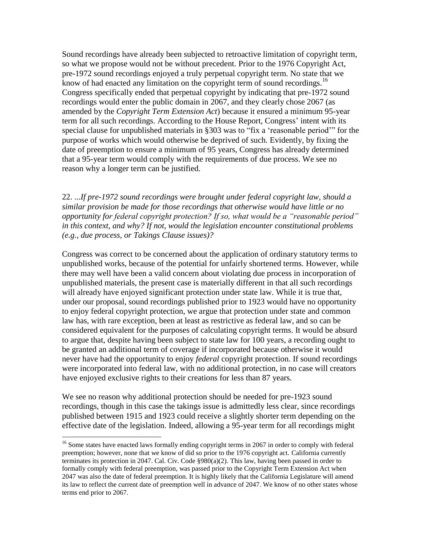Sound recordings have already been subjected to retroactive limitation of copyright term, so what we propose would not be without precedent. Prior to the 1976 Copyright Act, pre-1972 sound recordings enjoyed a truly perpetual copyright term. No state that we know of had enacted any limitation on the copyright term of sound recordings.<sup>16</sup> Congress specifically ended that perpetual copyright by indicating that pre-1972 sound recordings would enter the public domain in 2067, and they clearly chose 2067 (as amended by the *Copyright Term Extension Act*) because it ensured a minimum 95-year term for all such recordings. According to the House Report, Congress' intent with its special clause for unpublished materials in  $\S 303$  was to "fix a 'reasonable period'" for the purpose of works which would otherwise be deprived of such. Evidently, by fixing the date of preemption to ensure a minimum of 95 years, Congress has already determined that a 95-year term would comply with the requirements of due process. We see no reason why a longer term can be justified.

22. ...*If pre-1972 sound recordings were brought under federal copyright law, should a similar provision be made for those recordings that otherwise would have little or no opportunity for federal copyright protection? If so, what would be a "reasonable period" in this context, and why? If not, would the legislation encounter constitutional problems (e.g., due process, or Takings Clause issues)?*

Congress was correct to be concerned about the application of ordinary statutory terms to unpublished works, because of the potential for unfairly shortened terms. However, while there may well have been a valid concern about violating due process in incorporation of unpublished materials, the present case is materially different in that all such recordings will already have enjoyed significant protection under state law. While it is true that, under our proposal, sound recordings published prior to 1923 would have no opportunity to enjoy federal copyright protection, we argue that protection under state and common law has, with rare exception, been at least as restrictive as federal law, and so can be considered equivalent for the purposes of calculating copyright terms. It would be absurd to argue that, despite having been subject to state law for 100 years, a recording ought to be granted an additional term of coverage if incorporated because otherwise it would never have had the opportunity to enjoy *federal* copyright protection. If sound recordings were incorporated into federal law, with no additional protection, in no case will creators have enjoyed exclusive rights to their creations for less than 87 years.

We see no reason why additional protection should be needed for pre-1923 sound recordings, though in this case the takings issue is admittedly less clear, since recordings published between 1915 and 1923 could receive a slightly shorter term depending on the effective date of the legislation. Indeed, allowing a 95-year term for all recordings might

 $16$  Some states have enacted laws formally ending copyright terms in 2067 in order to comply with federal preemption; however, none that we know of did so prior to the 1976 copyright act. California currently terminates its protection in 2047. Cal. Civ. Code §980(a)(2). This law, having been passed in order to formally comply with federal preemption, was passed prior to the Copyright Term Extension Act when 2047 was also the date of federal preemption. It is highly likely that the California Legislature will amend its law to reflect the current date of preemption well in advance of 2047. We know of no other states whose terms end prior to 2067.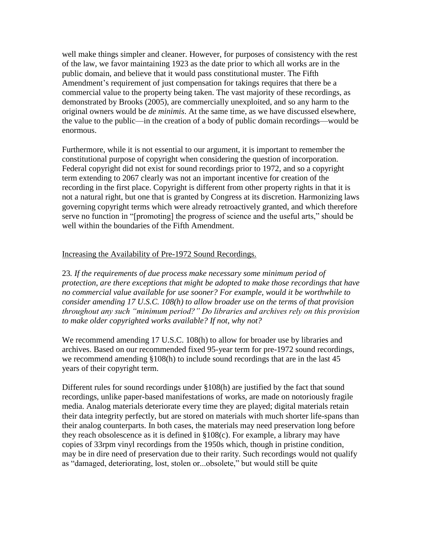well make things simpler and cleaner. However, for purposes of consistency with the rest of the law, we favor maintaining 1923 as the date prior to which all works are in the public domain, and believe that it would pass constitutional muster. The Fifth Amendment's requirement of just compensation for takings requires that there be a commercial value to the property being taken. The vast majority of these recordings, as demonstrated by Brooks (2005), are commercially unexploited, and so any harm to the original owners would be *de minimis*. At the same time, as we have discussed elsewhere, the value to the public—in the creation of a body of public domain recordings—would be enormous.

Furthermore, while it is not essential to our argument, it is important to remember the constitutional purpose of copyright when considering the question of incorporation. Federal copyright did not exist for sound recordings prior to 1972, and so a copyright term extending to 2067 clearly was not an important incentive for creation of the recording in the first place. Copyright is different from other property rights in that it is not a natural right, but one that is granted by Congress at its discretion. Harmonizing laws governing copyright terms which were already retroactively granted, and which therefore serve no function in "[promoting] the progress of science and the useful arts," should be well within the boundaries of the Fifth Amendment.

#### Increasing the Availability of Pre-1972 Sound Recordings.

23*. If the requirements of due process make necessary some minimum period of protection, are there exceptions that might be adopted to make those recordings that have no commercial value available for use sooner? For example, would it be worthwhile to consider amending 17 U.S.C. 108(h) to allow broader use on the terms of that provision throughout any such "minimum period?" Do libraries and archives rely on this provision to make older copyrighted works available? If not, why not?*

We recommend amending 17 U.S.C. 108(h) to allow for broader use by libraries and archives. Based on our recommended fixed 95-year term for pre-1972 sound recordings, we recommend amending §108(h) to include sound recordings that are in the last 45 years of their copyright term.

Different rules for sound recordings under §108(h) are justified by the fact that sound recordings, unlike paper-based manifestations of works, are made on notoriously fragile media. Analog materials deteriorate every time they are played; digital materials retain their data integrity perfectly, but are stored on materials with much shorter life-spans than their analog counterparts. In both cases, the materials may need preservation long before they reach obsolescence as it is defined in §108(c). For example, a library may have copies of 33rpm vinyl recordings from the 1950s which, though in pristine condition, may be in dire need of preservation due to their rarity. Such recordings would not qualify as "damaged, deteriorating, lost, stolen or...obsolete," but would still be quite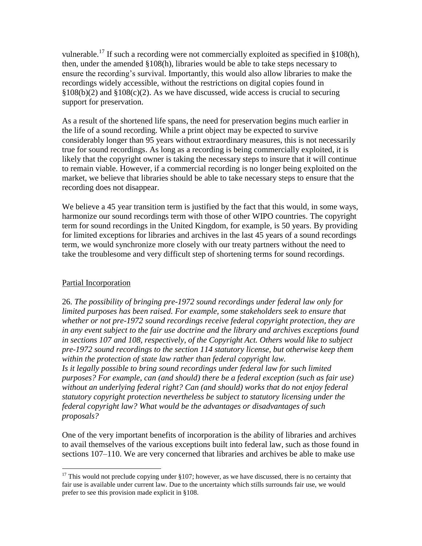vulnerable.<sup>17</sup> If such a recording were not commercially exploited as specified in §108(h), then, under the amended §108(h), libraries would be able to take steps necessary to ensure the recording's survival. Importantly, this would also allow libraries to make the recordings widely accessible, without the restrictions on digital copies found in  $§108(b)(2)$  and  $§108(c)(2)$ . As we have discussed, wide access is crucial to securing support for preservation.

As a result of the shortened life spans, the need for preservation begins much earlier in the life of a sound recording. While a print object may be expected to survive considerably longer than 95 years without extraordinary measures, this is not necessarily true for sound recordings. As long as a recording is being commercially exploited, it is likely that the copyright owner is taking the necessary steps to insure that it will continue to remain viable. However, if a commercial recording is no longer being exploited on the market, we believe that libraries should be able to take necessary steps to ensure that the recording does not disappear.

We believe a 45 year transition term is justified by the fact that this would, in some ways, harmonize our sound recordings term with those of other WIPO countries. The copyright term for sound recordings in the United Kingdom, for example, is 50 years. By providing for limited exceptions for libraries and archives in the last 45 years of a sound recordings term, we would synchronize more closely with our treaty partners without the need to take the troublesome and very difficult step of shortening terms for sound recordings.

# Partial Incorporation

26. *The possibility of bringing pre-1972 sound recordings under federal law only for limited purposes has been raised. For example, some stakeholders seek to ensure that whether or not pre-1972 sound recordings receive federal copyright protection, they are in any event subject to the fair use doctrine and the library and archives exceptions found in sections 107 and 108, respectively, of the Copyright Act. Others would like to subject pre-1972 sound recordings to the section 114 statutory license, but otherwise keep them within the protection of state law rather than federal copyright law. Is it legally possible to bring sound recordings under federal law for such limited purposes? For example, can (and should) there be a federal exception (such as fair use) without an underlying federal right? Can (and should) works that do not enjoy federal statutory copyright protection nevertheless be subject to statutory licensing under the federal copyright law? What would be the advantages or disadvantages of such proposals?*

One of the very important benefits of incorporation is the ability of libraries and archives to avail themselves of the various exceptions built into federal law, such as those found in sections 107–110. We are very concerned that libraries and archives be able to make use

 $\overline{a}$  $17$  This would not preclude copying under §107; however, as we have discussed, there is no certainty that fair use is available under current law. Due to the uncertainty which stills surrounds fair use, we would prefer to see this provision made explicit in §108.